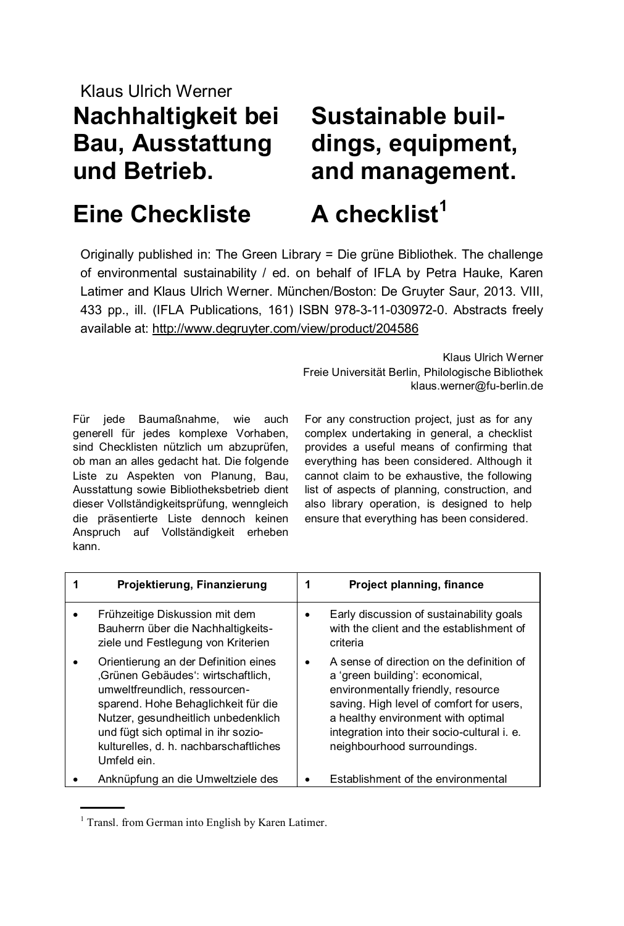### Klaus Ulrich Werner **Nachhaltigkeit bei Bau, Ausstattung und Betrieb.**

## **Sustainable buildings, equipment, and management.**

### **Eine Checkliste**

# **A checklist<sup>1</sup>**

Originally published in: The Green Library = Die grüne Bibliothek. The challenge of environmental sustainability / ed. on behalf of IFLA by Petra Hauke, Karen Latimer and Klaus Ulrich Werner. München/Boston: De Gruyter Saur, 2013. VIII, 433 pp., ill. (IFLA Publications, 161) ISBN 978-3-11-030972-0. Abstracts freely available at:<http://www.degruyter.com/view/product/204586>

> Klaus Ulrich Werner Freie Universität Berlin, Philologische Bibliothek klaus.werner@fu-berlin.de

Für jede Baumaßnahme, wie auch generell für jedes komplexe Vorhaben, sind Checklisten nützlich um abzuprüfen, ob man an alles gedacht hat. Die folgende Liste zu Aspekten von Planung, Bau, Ausstattung sowie Bibliotheksbetrieb dient dieser Vollständigkeitsprüfung, wenngleich die präsentierte Liste dennoch keinen Anspruch auf Vollständigkeit erheben kann.

For any construction project, just as for any complex undertaking in general, a checklist provides a useful means of confirming that everything has been considered. Although it cannot claim to be exhaustive, the following list of aspects of planning, construction, and also library operation, is designed to help ensure that everything has been considered.

| 1 | Projektierung, Finanzierung                                                                                                                                                                                                                                                               | 1         | Project planning, finance                                                                                                                                                                                                                                                          |
|---|-------------------------------------------------------------------------------------------------------------------------------------------------------------------------------------------------------------------------------------------------------------------------------------------|-----------|------------------------------------------------------------------------------------------------------------------------------------------------------------------------------------------------------------------------------------------------------------------------------------|
|   | Frühzeitige Diskussion mit dem<br>Bauherrn über die Nachhaltigkeits-<br>ziele und Festlegung von Kriterien                                                                                                                                                                                |           | Early discussion of sustainability goals<br>with the client and the establishment of<br>criteria                                                                                                                                                                                   |
|   | Orientierung an der Definition eines<br>.Grünen Gebäudes": wirtschaftlich.<br>umweltfreundlich, ressourcen-<br>sparend. Hohe Behaglichkeit für die<br>Nutzer, gesundheitlich unbedenklich<br>und fügt sich optimal in ihr sozio-<br>kulturelles, d. h. nachbarschaftliches<br>Umfeld ein. | $\bullet$ | A sense of direction on the definition of<br>a 'green building': economical,<br>environmentally friendly, resource<br>saving. High level of comfort for users,<br>a healthy environment with optimal<br>integration into their socio-cultural i. e.<br>neighbourhood surroundings. |
|   | Anknüpfung an die Umweltziele des                                                                                                                                                                                                                                                         |           | Establishment of the environmental                                                                                                                                                                                                                                                 |

<sup>&</sup>lt;sup>1</sup> Transl. from German into English by Karen Latimer.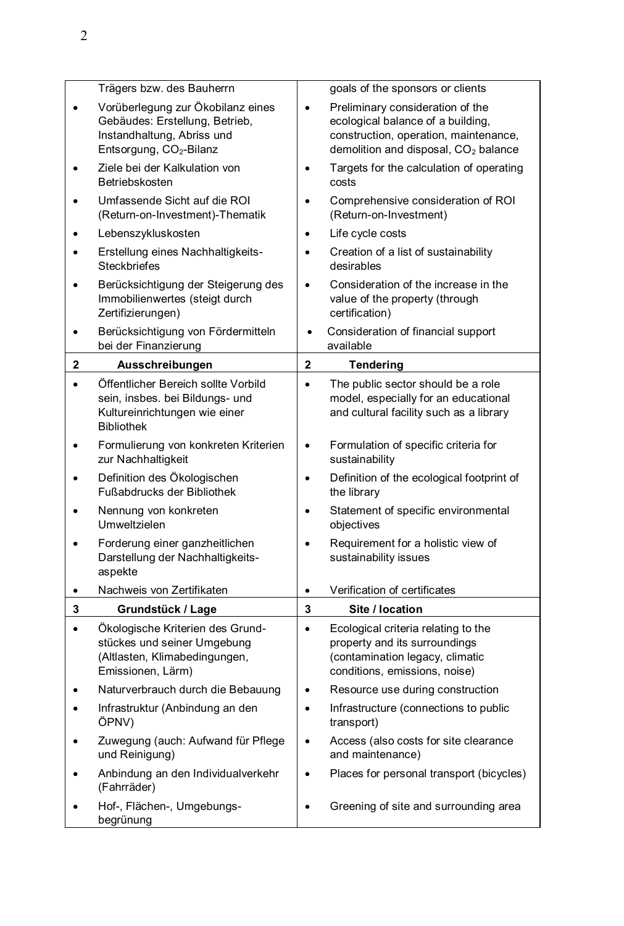|              | Trägers bzw. des Bauherrn                                                                                                                |              | goals of the sponsors or clients                                                                                                                                   |
|--------------|------------------------------------------------------------------------------------------------------------------------------------------|--------------|--------------------------------------------------------------------------------------------------------------------------------------------------------------------|
|              | Vorüberlegung zur Ökobilanz eines<br>Gebäudes: Erstellung, Betrieb,<br>Instandhaltung, Abriss und<br>Entsorgung, CO <sub>2</sub> -Bilanz | $\bullet$    | Preliminary consideration of the<br>ecological balance of a building,<br>construction, operation, maintenance,<br>demolition and disposal, CO <sub>2</sub> balance |
|              | Ziele bei der Kalkulation von<br>Betriebskosten                                                                                          | $\bullet$    | Targets for the calculation of operating<br>costs                                                                                                                  |
|              | Umfassende Sicht auf die ROI<br>(Return-on-Investment)-Thematik                                                                          | $\bullet$    | Comprehensive consideration of ROI<br>(Return-on-Investment)                                                                                                       |
|              | Lebenszykluskosten                                                                                                                       | $\bullet$    | Life cycle costs                                                                                                                                                   |
|              | Erstellung eines Nachhaltigkeits-<br><b>Steckbriefes</b>                                                                                 | $\bullet$    | Creation of a list of sustainability<br>desirables                                                                                                                 |
|              | Berücksichtigung der Steigerung des<br>Immobilienwertes (steigt durch<br>Zertifizierungen)                                               | $\bullet$    | Consideration of the increase in the<br>value of the property (through<br>certification)                                                                           |
| ٠            | Berücksichtigung von Fördermitteln<br>bei der Finanzierung                                                                               | $\bullet$    | Consideration of financial support<br>available                                                                                                                    |
| $\mathbf{2}$ | Ausschreibungen                                                                                                                          | $\mathbf{2}$ | <b>Tendering</b>                                                                                                                                                   |
| $\bullet$    | Öffentlicher Bereich sollte Vorbild                                                                                                      | $\bullet$    | The public sector should be a role                                                                                                                                 |
|              | sein, insbes. bei Bildungs- und<br>Kultureinrichtungen wie einer<br><b>Bibliothek</b>                                                    |              | model, especially for an educational<br>and cultural facility such as a library                                                                                    |
|              | Formulierung von konkreten Kriterien<br>zur Nachhaltigkeit                                                                               | $\bullet$    | Formulation of specific criteria for<br>sustainability                                                                                                             |
|              | Definition des Ökologischen<br>Fußabdrucks der Bibliothek                                                                                | $\bullet$    | Definition of the ecological footprint of<br>the library                                                                                                           |
|              | Nennung von konkreten<br>Umweltzielen                                                                                                    | $\bullet$    | Statement of specific environmental<br>objectives                                                                                                                  |
|              | Forderung einer ganzheitlichen<br>Darstellung der Nachhaltigkeits-<br>aspekte                                                            | $\bullet$    | Requirement for a holistic view of<br>sustainability issues                                                                                                        |
| ٠            | Nachweis von Zertifikaten                                                                                                                | $\bullet$    | Verification of certificates                                                                                                                                       |
| 3            | Grundstück / Lage                                                                                                                        | 3            | Site / location                                                                                                                                                    |
| ٠            | Ökologische Kriterien des Grund-<br>stückes und seiner Umgebung<br>(Altlasten, Klimabedingungen,<br>Emissionen, Lärm)                    | $\bullet$    | Ecological criteria relating to the<br>property and its surroundings<br>(contamination legacy, climatic<br>conditions, emissions, noise)                           |
|              | Naturverbrauch durch die Bebauung                                                                                                        | $\bullet$    | Resource use during construction                                                                                                                                   |
|              | Infrastruktur (Anbindung an den<br>ÖPNV)                                                                                                 | $\bullet$    | Infrastructure (connections to public<br>transport)                                                                                                                |
|              | Zuwegung (auch: Aufwand für Pflege<br>und Reinigung)                                                                                     | ٠            | Access (also costs for site clearance<br>and maintenance)                                                                                                          |
|              | Anbindung an den Individualverkehr<br>(Fahrräder)                                                                                        | $\bullet$    | Places for personal transport (bicycles)                                                                                                                           |
|              | Hof-, Flächen-, Umgebungs-<br>begrünung                                                                                                  | ٠            | Greening of site and surrounding area                                                                                                                              |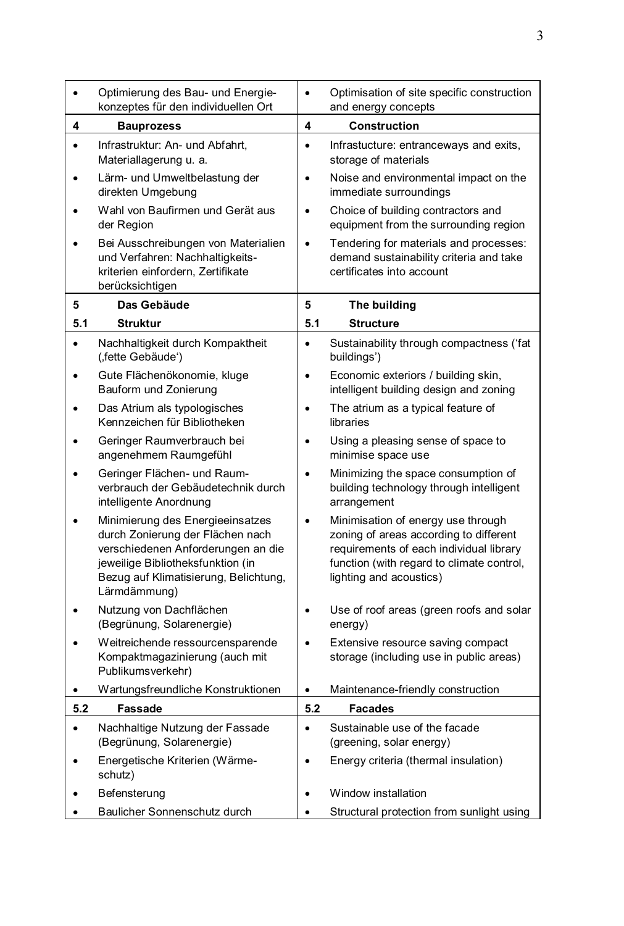|           | Optimierung des Bau- und Energie-<br>konzeptes für den individuellen Ort                                                                                                                                 | $\bullet$ | Optimisation of site specific construction<br>and energy concepts                                                                                                                               |
|-----------|----------------------------------------------------------------------------------------------------------------------------------------------------------------------------------------------------------|-----------|-------------------------------------------------------------------------------------------------------------------------------------------------------------------------------------------------|
| 4         | <b>Bauprozess</b>                                                                                                                                                                                        | 4         | <b>Construction</b>                                                                                                                                                                             |
| $\bullet$ | Infrastruktur: An- und Abfahrt,<br>Materiallagerung u. a.                                                                                                                                                | $\bullet$ | Infrastucture: entranceways and exits,<br>storage of materials                                                                                                                                  |
| ٠         | Lärm- und Umweltbelastung der<br>direkten Umgebung                                                                                                                                                       | $\bullet$ | Noise and environmental impact on the<br>immediate surroundings                                                                                                                                 |
|           | Wahl von Baufirmen und Gerät aus<br>der Region                                                                                                                                                           | $\bullet$ | Choice of building contractors and<br>equipment from the surrounding region                                                                                                                     |
|           | Bei Ausschreibungen von Materialien<br>und Verfahren: Nachhaltigkeits-<br>kriterien einfordern, Zertifikate<br>berücksichtigen                                                                           | $\bullet$ | Tendering for materials and processes:<br>demand sustainability criteria and take<br>certificates into account                                                                                  |
| 5         | Das Gebäude                                                                                                                                                                                              | 5         | The building                                                                                                                                                                                    |
| 5.1       | <b>Struktur</b>                                                                                                                                                                                          | 5.1       | <b>Structure</b>                                                                                                                                                                                |
| $\bullet$ | Nachhaltigkeit durch Kompaktheit<br>(,fette Gebäude')                                                                                                                                                    | $\bullet$ | Sustainability through compactness ('fat<br>buildings')                                                                                                                                         |
|           | Gute Flächenökonomie, kluge<br>Bauform und Zonierung                                                                                                                                                     | $\bullet$ | Economic exteriors / building skin,<br>intelligent building design and zoning                                                                                                                   |
|           | Das Atrium als typologisches<br>Kennzeichen für Bibliotheken                                                                                                                                             | $\bullet$ | The atrium as a typical feature of<br>libraries                                                                                                                                                 |
| ٠         | Geringer Raumverbrauch bei<br>angenehmem Raumgefühl                                                                                                                                                      | $\bullet$ | Using a pleasing sense of space to<br>minimise space use                                                                                                                                        |
| $\bullet$ | Geringer Flächen- und Raum-<br>verbrauch der Gebäudetechnik durch<br>intelligente Anordnung                                                                                                              | $\bullet$ | Minimizing the space consumption of<br>building technology through intelligent<br>arrangement                                                                                                   |
|           | Minimierung des Energieeinsatzes<br>durch Zonierung der Flächen nach<br>verschiedenen Anforderungen an die<br>jeweilige Bibliotheksfunktion (in<br>Bezug auf Klimatisierung, Belichtung,<br>Lärmdämmung) | $\bullet$ | Minimisation of energy use through<br>zoning of areas according to different<br>requirements of each individual library<br>function (with regard to climate control,<br>lighting and acoustics) |
|           | Nutzung von Dachflächen<br>(Begrünung, Solarenergie)                                                                                                                                                     | $\bullet$ | Use of roof areas (green roofs and solar<br>energy)                                                                                                                                             |
|           | Weitreichende ressourcensparende<br>Kompaktmagazinierung (auch mit<br>Publikumsverkehr)                                                                                                                  |           | Extensive resource saving compact<br>storage (including use in public areas)                                                                                                                    |
| ٠         | Wartungsfreundliche Konstruktionen                                                                                                                                                                       | $\bullet$ | Maintenance-friendly construction                                                                                                                                                               |
| 5.2       | <b>Fassade</b>                                                                                                                                                                                           | 5.2       | <b>Facades</b>                                                                                                                                                                                  |
| $\bullet$ | Nachhaltige Nutzung der Fassade<br>(Begrünung, Solarenergie)                                                                                                                                             | $\bullet$ | Sustainable use of the facade<br>(greening, solar energy)                                                                                                                                       |
|           | Energetische Kriterien (Wärme-<br>schutz)                                                                                                                                                                |           | Energy criteria (thermal insulation)                                                                                                                                                            |
| $\bullet$ | Befensterung                                                                                                                                                                                             |           | Window installation                                                                                                                                                                             |
|           | Baulicher Sonnenschutz durch                                                                                                                                                                             |           | Structural protection from sunlight using                                                                                                                                                       |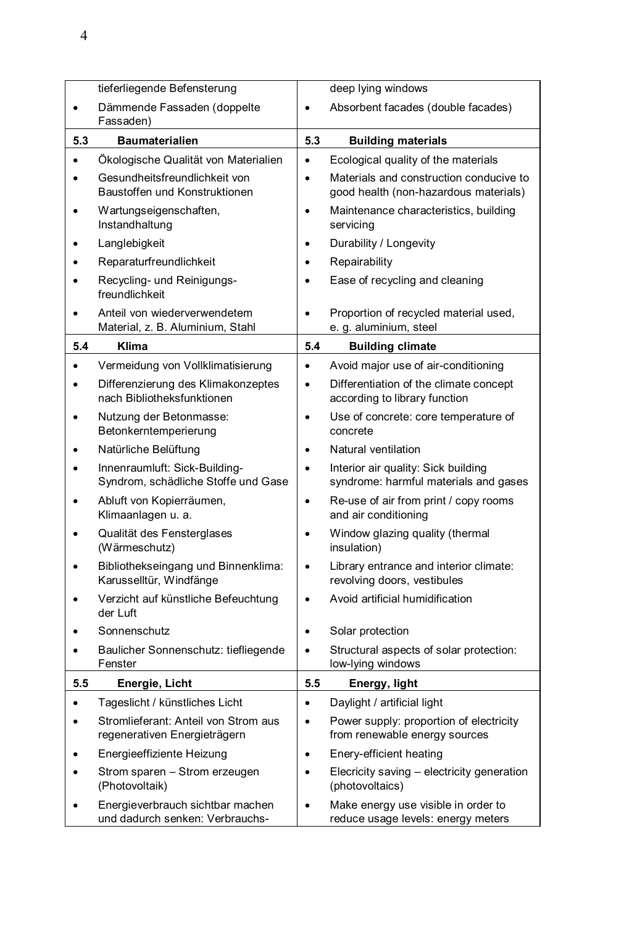|           | tieferliegende Befensterung                                          |           | deep lying windows                                                               |
|-----------|----------------------------------------------------------------------|-----------|----------------------------------------------------------------------------------|
|           | Dämmende Fassaden (doppelte<br>Fassaden)                             | $\bullet$ | Absorbent facades (double facades)                                               |
| 5.3       | <b>Baumaterialien</b>                                                | 5.3       | <b>Building materials</b>                                                        |
| $\bullet$ | Ökologische Qualität von Materialien                                 | $\bullet$ | Ecological quality of the materials                                              |
| $\bullet$ | Gesundheitsfreundlichkeit von<br>Baustoffen und Konstruktionen       | $\bullet$ | Materials and construction conducive to<br>good health (non-hazardous materials) |
|           | Wartungseigenschaften,<br>Instandhaltung                             | $\bullet$ | Maintenance characteristics, building<br>servicing                               |
| ٠         | Langlebigkeit                                                        | $\bullet$ | Durability / Longevity                                                           |
|           | Reparaturfreundlichkeit                                              | $\bullet$ | Repairability                                                                    |
|           | Recycling- und Reinigungs-<br>freundlichkeit                         | $\bullet$ | Ease of recycling and cleaning                                                   |
| ٠         | Anteil von wiederverwendetem<br>Material, z. B. Aluminium, Stahl     | $\bullet$ | Proportion of recycled material used,<br>e. g. aluminium, steel                  |
| 5.4       | Klima                                                                | 5.4       | <b>Building climate</b>                                                          |
| ٠         | Vermeidung von Vollklimatisierung                                    | $\bullet$ | Avoid major use of air-conditioning                                              |
| $\bullet$ | Differenzierung des Klimakonzeptes<br>nach Bibliotheksfunktionen     | $\bullet$ | Differentiation of the climate concept<br>according to library function          |
|           | Nutzung der Betonmasse:<br>Betonkerntemperierung                     | $\bullet$ | Use of concrete: core temperature of<br>concrete                                 |
|           | Natürliche Belüftung                                                 | $\bullet$ | Natural ventilation                                                              |
|           | Innenraumluft: Sick-Building-<br>Syndrom, schädliche Stoffe und Gase | $\bullet$ | Interior air quality: Sick building<br>syndrome: harmful materials and gases     |
|           | Abluft von Kopierräumen,<br>Klimaanlagen u. a.                       | $\bullet$ | Re-use of air from print / copy rooms<br>and air conditioning                    |
|           | Qualität des Fensterglases<br>(Wärmeschutz)                          | $\bullet$ | Window glazing quality (thermal<br>insulation)                                   |
|           | Bibliothekseingang und Binnenklima:<br>Karusselltür, Windfänge       | $\bullet$ | Library entrance and interior climate:<br>revolving doors, vestibules            |
|           | Verzicht auf künstliche Befeuchtung<br>der Luft                      | ٠         | Avoid artificial humidification                                                  |
|           | Sonnenschutz                                                         | $\bullet$ | Solar protection                                                                 |
|           | Baulicher Sonnenschutz: tiefliegende<br>Fenster                      | $\bullet$ | Structural aspects of solar protection:<br>low-lying windows                     |
| 5.5       | Energie, Licht                                                       | 5.5       | Energy, light                                                                    |
| ٠         | Tageslicht / künstliches Licht                                       | $\bullet$ | Daylight / artificial light                                                      |
| ٠         | Stromlieferant: Anteil von Strom aus<br>regenerativen Energieträgern | ٠         | Power supply: proportion of electricity<br>from renewable energy sources         |
|           | Energieeffiziente Heizung                                            | $\bullet$ | Enery-efficient heating                                                          |
|           | Strom sparen - Strom erzeugen<br>(Photovoltaik)                      | $\bullet$ | Elecricity saving - electricity generation<br>(photovoltaics)                    |
|           | Energieverbrauch sichtbar machen<br>und dadurch senken: Verbrauchs-  | ٠         | Make energy use visible in order to<br>reduce usage levels: energy meters        |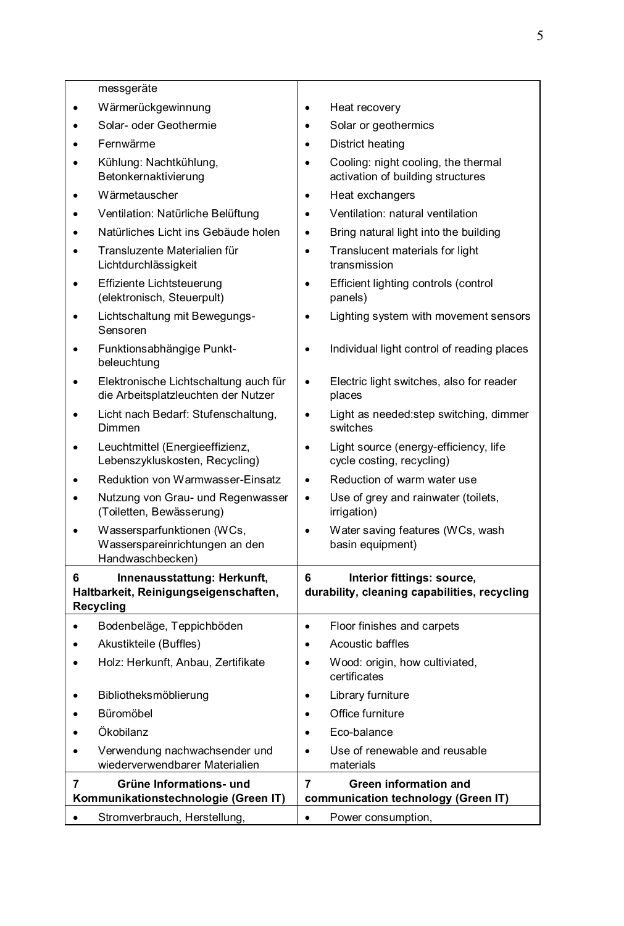|           | messgeräte                                                                               |           |                                                                            |
|-----------|------------------------------------------------------------------------------------------|-----------|----------------------------------------------------------------------------|
| ٠         | Wärmerückgewinnung                                                                       | $\bullet$ | Heat recovery                                                              |
|           | Solar- oder Geothermie                                                                   | $\bullet$ | Solar or geothermics                                                       |
|           | Fernwärme                                                                                | ٠         | District heating                                                           |
| $\bullet$ | Kühlung: Nachtkühlung,<br>Betonkernaktivierung                                           | $\bullet$ | Cooling: night cooling, the thermal<br>activation of building structures   |
| ٠         | Wärmetauscher                                                                            | $\bullet$ | Heat exchangers                                                            |
| $\bullet$ | Ventilation: Natürliche Belüftung                                                        | $\bullet$ | Ventilation: natural ventilation                                           |
| $\bullet$ | Natürliches Licht ins Gebäude holen                                                      | $\bullet$ | Bring natural light into the building                                      |
|           | Transluzente Materialien für<br>Lichtdurchlässigkeit                                     | $\bullet$ | Translucent materials for light<br>transmission                            |
| $\bullet$ | Effiziente Lichtsteuerung<br>(elektronisch, Steuerpult)                                  | $\bullet$ | Efficient lighting controls (control<br>panels)                            |
| ٠         | Lichtschaltung mit Bewegungs-<br>Sensoren                                                | $\bullet$ | Lighting system with movement sensors                                      |
| ٠         | Funktionsabhängige Punkt-<br>beleuchtung                                                 | $\bullet$ | Individual light control of reading places                                 |
|           | Elektronische Lichtschaltung auch für<br>die Arbeitsplatzleuchten der Nutzer             | $\bullet$ | Electric light switches, also for reader<br>places                         |
| ٠         | Licht nach Bedarf: Stufenschaltung,<br>Dimmen                                            | $\bullet$ | Light as needed: step switching, dimmer<br>switches                        |
| ٠         | Leuchtmittel (Energieeffizienz,<br>Lebenszykluskosten, Recycling)                        | $\bullet$ | Light source (energy-efficiency, life<br>cycle costing, recycling)         |
| ٠         | Reduktion von Warmwasser-Einsatz                                                         | $\bullet$ | Reduction of warm water use                                                |
| ٠         | Nutzung von Grau- und Regenwasser<br>(Toiletten, Bewässerung)                            | $\bullet$ | Use of grey and rainwater (toilets,<br>irrigation)                         |
| ٠         | Wassersparfunktionen (WCs,<br>Wasserspareinrichtungen an den<br>Handwaschbecken)         | $\bullet$ | Water saving features (WCs, wash<br>basin equipment)                       |
| 6         | Innenausstattung: Herkunft,<br>Haltbarkeit, Reinigungseigenschaften,<br><b>Recycling</b> | 6         | Interior fittings: source,<br>durability, cleaning capabilities, recycling |
| ٠         | Bodenbeläge, Teppichböden                                                                | $\bullet$ | Floor finishes and carpets                                                 |
| ٠         | Akustikteile (Buffles)                                                                   | $\bullet$ | Acoustic baffles                                                           |
|           | Holz: Herkunft, Anbau, Zertifikate                                                       | $\bullet$ | Wood: origin, how cultiviated,<br>certificates                             |
|           | Bibliotheksmöblierung                                                                    |           | Library furniture                                                          |
|           | Büromöbel                                                                                |           | Office furniture                                                           |
|           | Ökobilanz                                                                                | ٠         | Eco-balance                                                                |
| ٠         | Verwendung nachwachsender und<br>wiederverwendbarer Materialien                          | $\bullet$ | Use of renewable and reusable<br>materials                                 |
| 7         | Grüne Informations- und                                                                  | 7         | Green information and                                                      |
|           | Kommunikationstechnologie (Green IT)                                                     |           | communication technology (Green IT)                                        |
|           | Stromverbrauch, Herstellung,                                                             | ٠         | Power consumption,                                                         |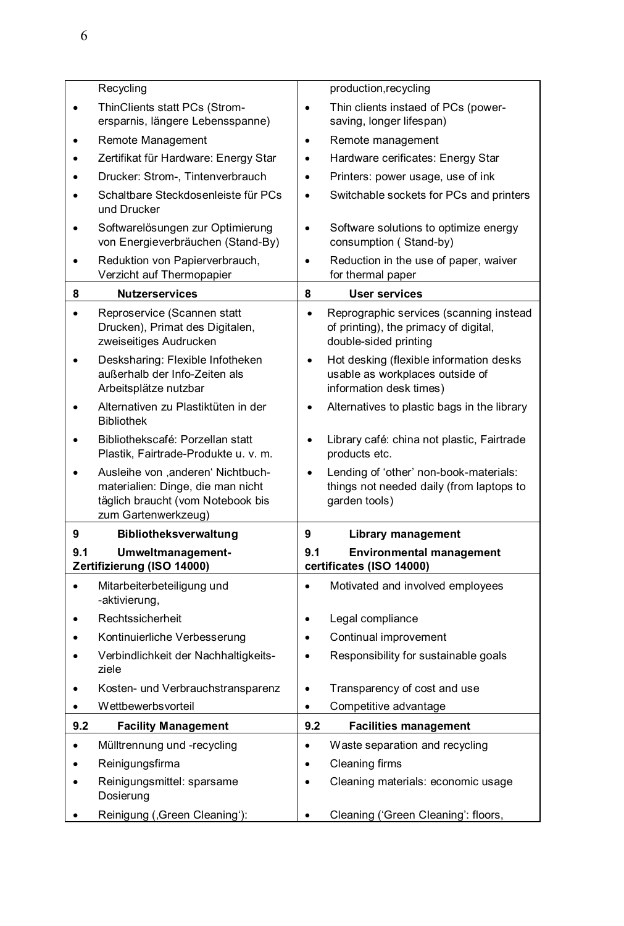|     | Recycling                                                                                  |           | production, recycling                                                                                     |
|-----|--------------------------------------------------------------------------------------------|-----------|-----------------------------------------------------------------------------------------------------------|
|     | ThinClients statt PCs (Strom-<br>ersparnis, längere Lebensspanne)                          | $\bullet$ | Thin clients instaed of PCs (power-<br>saving, longer lifespan)                                           |
|     | Remote Management                                                                          | ٠         | Remote management                                                                                         |
|     | Zertifikat für Hardware: Energy Star                                                       | $\bullet$ | Hardware cerificates: Energy Star                                                                         |
|     | Drucker: Strom-, Tintenverbrauch                                                           | $\bullet$ | Printers: power usage, use of ink                                                                         |
|     | Schaltbare Steckdosenleiste für PCs<br>und Drucker                                         | $\bullet$ | Switchable sockets for PCs and printers                                                                   |
|     | Softwarelösungen zur Optimierung<br>von Energieverbräuchen (Stand-By)                      | $\bullet$ | Software solutions to optimize energy<br>consumption (Stand-by)                                           |
|     | Reduktion von Papierverbrauch,<br>Verzicht auf Thermopapier                                | $\bullet$ | Reduction in the use of paper, waiver<br>for thermal paper                                                |
| 8   | <b>Nutzerservices</b>                                                                      | 8         | <b>User services</b>                                                                                      |
|     | Reproservice (Scannen statt<br>Drucken), Primat des Digitalen,<br>zweiseitiges Audrucken   | $\bullet$ | Reprographic services (scanning instead<br>of printing), the primacy of digital,<br>double-sided printing |
|     | Desksharing: Flexible Infotheken<br>außerhalb der Info-Zeiten als<br>Arbeitsplätze nutzbar | $\bullet$ | Hot desking (flexible information desks<br>usable as workplaces outside of<br>information desk times)     |
|     | Alternativen zu Plastiktüten in der<br><b>Bibliothek</b>                                   |           | Alternatives to plastic bags in the library                                                               |
|     | Bibliothekscafé: Porzellan statt<br>Plastik, Fairtrade-Produkte u. v. m.                   | $\bullet$ | Library café: china not plastic, Fairtrade<br>products etc.                                               |
|     | Ausleihe von ,anderen' Nichtbuch-<br>materialien: Dinge, die man nicht                     |           | Lending of 'other' non-book-materials:<br>things not needed daily (from laptops to                        |
|     | täglich braucht (vom Notebook bis<br>zum Gartenwerkzeug)                                   |           | garden tools)                                                                                             |
| 9   | Bibliotheksverwaltung                                                                      | 9         | Library management                                                                                        |
| 9.1 | Umweltmanagement-<br>Zertifizierung (ISO 14000)                                            | 9.1       | <b>Environmental management</b><br>certificates (ISO 14000)                                               |
|     | Mitarbeiterbeteiligung und<br>-aktivierung,                                                |           | Motivated and involved employees                                                                          |
|     | Rechtssicherheit                                                                           | $\bullet$ | Legal compliance                                                                                          |
|     | Kontinuierliche Verbesserung                                                               | $\bullet$ | Continual improvement                                                                                     |
|     | Verbindlichkeit der Nachhaltigkeits-<br>ziele                                              | $\bullet$ | Responsibility for sustainable goals                                                                      |
|     | Kosten- und Verbrauchstransparenz                                                          | $\bullet$ | Transparency of cost and use                                                                              |
| ٠   | Wettbewerbsvorteil                                                                         | $\bullet$ | Competitive advantage                                                                                     |
| 9.2 | <b>Facility Management</b>                                                                 | 9.2       | <b>Facilities management</b>                                                                              |
|     | Mülltrennung und -recycling                                                                | $\bullet$ | Waste separation and recycling                                                                            |
|     | Reinigungsfirma                                                                            |           | Cleaning firms                                                                                            |
|     | Reinigungsmittel: sparsame<br>Dosierung                                                    |           | Cleaning materials: economic usage                                                                        |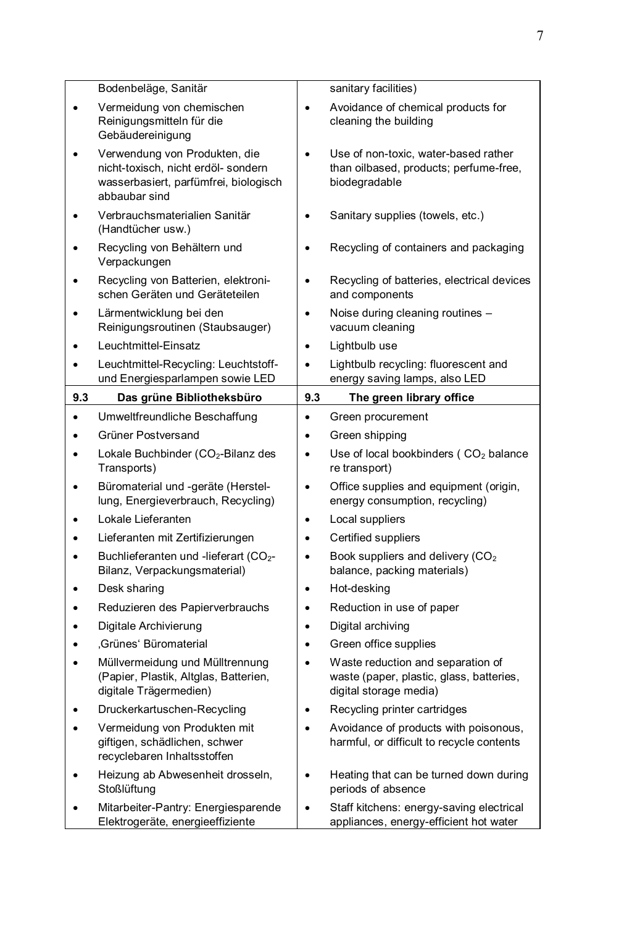|     | Bodenbeläge, Sanitär                                                                                                           |           | sanitary facilities)                                                                                    |
|-----|--------------------------------------------------------------------------------------------------------------------------------|-----------|---------------------------------------------------------------------------------------------------------|
| ٠   | Vermeidung von chemischen<br>Reinigungsmitteln für die<br>Gebäudereinigung                                                     | $\bullet$ | Avoidance of chemical products for<br>cleaning the building                                             |
| ٠   | Verwendung von Produkten, die<br>nicht-toxisch, nicht erdöl- sondern<br>wasserbasiert, parfümfrei, biologisch<br>abbaubar sind | $\bullet$ | Use of non-toxic, water-based rather<br>than oilbased, products; perfume-free,<br>biodegradable         |
|     | Verbrauchsmaterialien Sanitär<br>(Handtücher usw.)                                                                             | ٠         | Sanitary supplies (towels, etc.)                                                                        |
| ٠   | Recycling von Behältern und<br>Verpackungen                                                                                    | $\bullet$ | Recycling of containers and packaging                                                                   |
| ٠   | Recycling von Batterien, elektroni-<br>schen Geräten und Geräteteilen                                                          | $\bullet$ | Recycling of batteries, electrical devices<br>and components                                            |
| ٠   | Lärmentwicklung bei den<br>Reinigungsroutinen (Staubsauger)                                                                    | $\bullet$ | Noise during cleaning routines -<br>vacuum cleaning                                                     |
| ٠   | Leuchtmittel-Einsatz                                                                                                           | $\bullet$ | Lightbulb use                                                                                           |
| ٠   | Leuchtmittel-Recycling: Leuchtstoff-<br>und Energiesparlampen sowie LED                                                        | $\bullet$ | Lightbulb recycling: fluorescent and<br>energy saving lamps, also LED                                   |
| 9.3 | Das grüne Bibliotheksbüro                                                                                                      | 9.3       | The green library office                                                                                |
| ٠   | Umweltfreundliche Beschaffung                                                                                                  | $\bullet$ | Green procurement                                                                                       |
| ٠   | Grüner Postversand                                                                                                             | $\bullet$ | Green shipping                                                                                          |
| ٠   | Lokale Buchbinder (CO2-Bilanz des                                                                                              | ٠         | Use of local bookbinders (CO2 balance                                                                   |
|     | Transports)                                                                                                                    |           | re transport)                                                                                           |
| ٠   | Büromaterial und -geräte (Herstel-<br>lung, Energieverbrauch, Recycling)                                                       | $\bullet$ | Office supplies and equipment (origin,<br>energy consumption, recycling)                                |
| ٠   | Lokale Lieferanten                                                                                                             | $\bullet$ | Local suppliers                                                                                         |
| ٠   | Lieferanten mit Zertifizierungen                                                                                               | $\bullet$ | Certified suppliers                                                                                     |
| ٠   | Buchlieferanten und -lieferart (CO <sub>2</sub> -<br>Bilanz, Verpackungsmaterial)                                              | ٠         | Book suppliers and delivery (CO <sub>2</sub><br>balance, packing materials)                             |
| ٠   | Desk sharing                                                                                                                   | $\bullet$ | Hot-desking                                                                                             |
| ٠   | Reduzieren des Papierverbrauchs                                                                                                | ٠         | Reduction in use of paper                                                                               |
| ٠   | Digitale Archivierung                                                                                                          | $\bullet$ | Digital archiving                                                                                       |
| ٠   | ,Grünes' Büromaterial                                                                                                          | $\bullet$ | Green office supplies                                                                                   |
| ٠   | Müllvermeidung und Mülltrennung<br>(Papier, Plastik, Altglas, Batterien,<br>digitale Trägermedien)                             | $\bullet$ | Waste reduction and separation of<br>waste (paper, plastic, glass, batteries,<br>digital storage media) |
|     | Druckerkartuschen-Recycling                                                                                                    |           | Recycling printer cartridges                                                                            |
| ٠   | Vermeidung von Produkten mit<br>giftigen, schädlichen, schwer<br>recyclebaren Inhaltsstoffen                                   | ٠         | Avoidance of products with poisonous,<br>harmful, or difficult to recycle contents                      |
| ٠   | Heizung ab Abwesenheit drosseln,<br>Stoßlüftung                                                                                | $\bullet$ | Heating that can be turned down during<br>periods of absence                                            |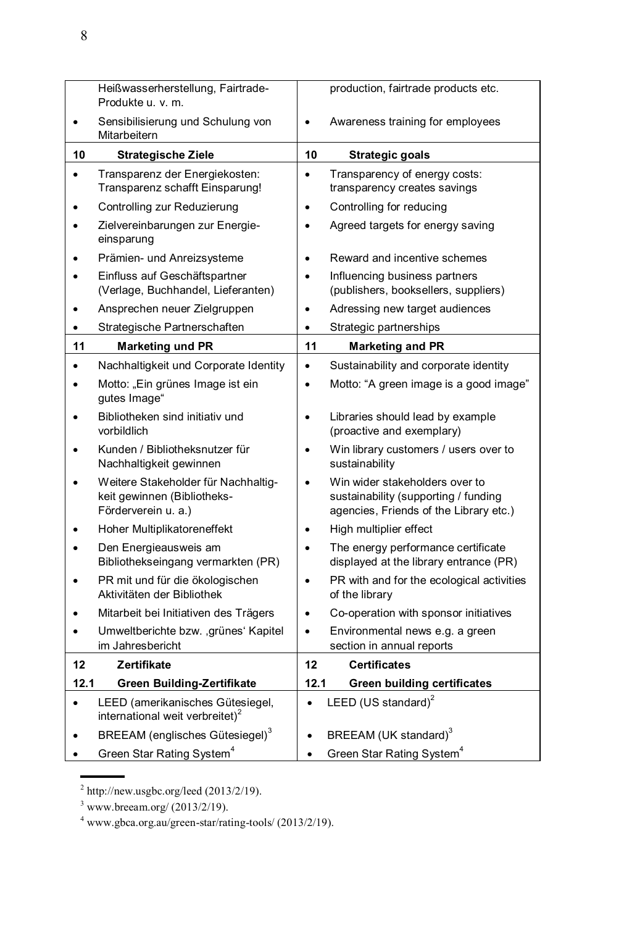|           | Heißwasserherstellung, Fairtrade-<br>Produkte u. v. m.                                    |           | production, fairtrade products etc.                                                                              |
|-----------|-------------------------------------------------------------------------------------------|-----------|------------------------------------------------------------------------------------------------------------------|
|           | Sensibilisierung und Schulung von<br>Mitarbeitern                                         | $\bullet$ | Awareness training for employees                                                                                 |
| 10        | <b>Strategische Ziele</b>                                                                 | 10        | Strategic goals                                                                                                  |
| ٠         | Transparenz der Energiekosten:<br>Transparenz schafft Einsparung!                         | $\bullet$ | Transparency of energy costs:<br>transparency creates savings                                                    |
|           | Controlling zur Reduzierung                                                               | $\bullet$ | Controlling for reducing                                                                                         |
|           | Zielvereinbarungen zur Energie-<br>einsparung                                             | $\bullet$ | Agreed targets for energy saving                                                                                 |
|           | Prämien- und Anreizsysteme                                                                | $\bullet$ | Reward and incentive schemes                                                                                     |
|           | Einfluss auf Geschäftspartner<br>(Verlage, Buchhandel, Lieferanten)                       | $\bullet$ | Influencing business partners<br>(publishers, booksellers, suppliers)                                            |
|           | Ansprechen neuer Zielgruppen                                                              | $\bullet$ | Adressing new target audiences                                                                                   |
| ٠         | Strategische Partnerschaften                                                              | $\bullet$ | Strategic partnerships                                                                                           |
| 11        | <b>Marketing und PR</b>                                                                   | 11        | <b>Marketing and PR</b>                                                                                          |
|           | Nachhaltigkeit und Corporate Identity                                                     | $\bullet$ | Sustainability and corporate identity                                                                            |
|           | Motto: "Ein grünes Image ist ein<br>gutes Image"                                          | $\bullet$ | Motto: "A green image is a good image"                                                                           |
|           | Bibliotheken sind initiativ und<br>vorbildlich                                            | $\bullet$ | Libraries should lead by example<br>(proactive and exemplary)                                                    |
|           | Kunden / Bibliotheksnutzer für<br>Nachhaltigkeit gewinnen                                 | $\bullet$ | Win library customers / users over to<br>sustainability                                                          |
|           | Weitere Stakeholder für Nachhaltig-<br>keit gewinnen (Bibliotheks-<br>Förderverein u. a.) | $\bullet$ | Win wider stakeholders over to<br>sustainability (supporting / funding<br>agencies, Friends of the Library etc.) |
|           | Hoher Multiplikatoreneffekt                                                               | $\bullet$ | High multiplier effect                                                                                           |
|           | Den Energieausweis am<br>Bibliothekseingang vermarkten (PR)                               | $\bullet$ | The energy performance certificate<br>displayed at the library entrance (PR)                                     |
|           | PR mit und für die ökologischen<br>Aktivitäten der Bibliothek                             | $\bullet$ | PR with and for the ecological activities<br>of the library                                                      |
|           | Mitarbeit bei Initiativen des Trägers                                                     | $\bullet$ | Co-operation with sponsor initiatives                                                                            |
|           | Umweltberichte bzw. , grünes' Kapitel<br>im Jahresbericht                                 | $\bullet$ | Environmental news e.g. a green<br>section in annual reports                                                     |
| 12        | Zertifikate                                                                               | 12        | <b>Certificates</b>                                                                                              |
| 12.1      | Green Building-Zertifikate                                                                | 12.1      | <b>Green building certificates</b>                                                                               |
| $\bullet$ | LEED (amerikanisches Gütesiegel,<br>international weit verbreitet) <sup>2</sup>           | $\bullet$ | LEED (US standard) <sup>2</sup>                                                                                  |
|           | BREEAM (englisches Gütesiegel) <sup>3</sup>                                               |           | BREEAM (UK standard) <sup>3</sup>                                                                                |
|           | Green Star Rating System <sup>4</sup>                                                     |           | Green Star Rating System <sup>4</sup>                                                                            |

<sup>2</sup> http://new.usgbc.org/leed (2013/2/19).

 $3$  www.breeam.org/ (2013/2/19).

 $4$  www.gbca.org.au/green-star/rating-tools/ (2013/2/19).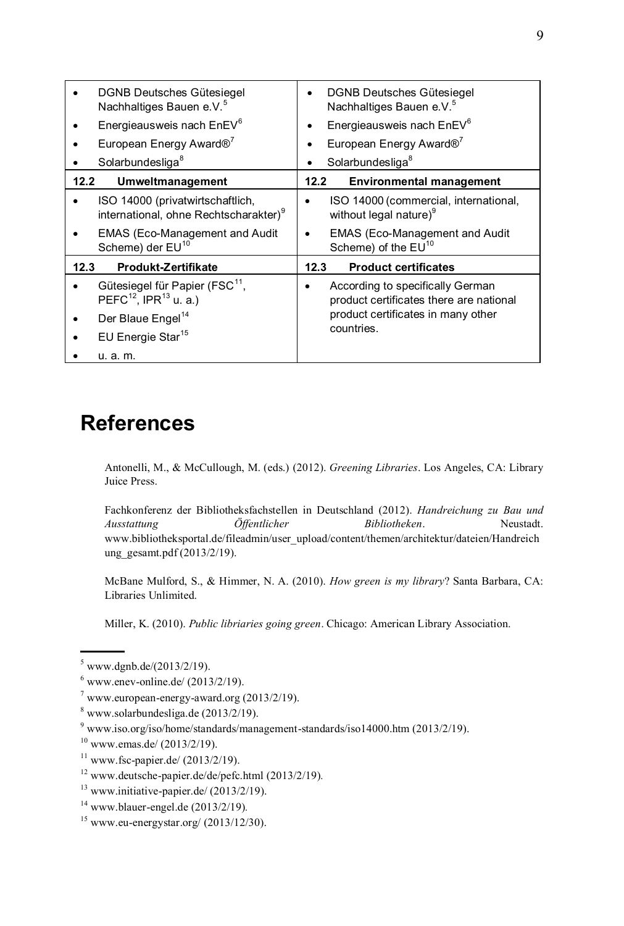| DGNB Deutsches Gütesiegel<br>Nachhaltiges Bauen e.V. <sup>5</sup>                           | DGNB Deutsches Gütesiegel<br>Nachhaltiges Bauen e.V. <sup>5</sup>                |
|---------------------------------------------------------------------------------------------|----------------------------------------------------------------------------------|
| Energieausweis nach EnEV <sup>6</sup>                                                       | Energieausweis nach EnEV <sup>6</sup>                                            |
| European Energy Award® <sup>7</sup>                                                         | European Energy Award® <sup>7</sup>                                              |
| Solarbundesliga <sup>8</sup>                                                                | Solarbundesliga <sup>8</sup><br>$\bullet$                                        |
| 12.2<br>Umweltmanagement                                                                    | 12.2<br><b>Environmental management</b>                                          |
| ISO 14000 (privatwirtschaftlich,<br>international, ohne Rechtscharakter) <sup>9</sup>       | ISO 14000 (commercial, international,<br>without legal nature) <sup>9</sup>      |
| EMAS (Eco-Management and Audit<br>Scheme) der EU <sup>10</sup>                              | EMAS (Eco-Management and Audit<br>Scheme) of the EU <sup>10</sup>                |
| Produkt-Zertifikate<br>12.3                                                                 | <b>Product certificates</b><br>12.3                                              |
| Gütesiegel für Papier (FSC <sup>11</sup> ,<br>PEFC <sup>12</sup> , IPR <sup>13</sup> u. a.) | According to specifically German<br>٠<br>product certificates there are national |
| Der Blaue Engel <sup>14</sup>                                                               | product certificates in many other<br>countries.                                 |
| EU Energie Star <sup>15</sup>                                                               |                                                                                  |
| u. a. m.                                                                                    |                                                                                  |

#### **References**

Antonelli, M., & McCullough, M. (eds.) (2012). *Greening Libraries*. Los Angeles, CA: Library Juice Press.

Fachkonferenz der Bibliotheksfachstellen in Deutschland (2012). *Handreichung zu Bau und Ausstattung Öffentlicher Bibliotheken*. Neustadt. www.bibliotheksportal.de/fileadmin/user\_upload/content/themen/architektur/dateien/Handreich ung\_gesamt.pdf (2013/2/19).

McBane Mulford, S., & Himmer, N. A. (2010). *How green is my library*? Santa Barbara, CA: Libraries Unlimited.

Miller, K. (2010). *Public libriaries going green*. Chicago: American Library Association.

 $5$  www.dgnb.de/(2013/2/19).

 $6$  www.enev-online.de/  $(2013/2/19)$ .

 $7$  www.european-energy-award.org  $(2013/2/19)$ .

 $8$  [www.solarbundesliga.de](http://www.solarbundesliga.de/)  $(2013/2/19)$ .

<sup>9</sup> www.iso.org/iso/home/standards/management-standards/iso14000.htm (2013/2/19).

 $10$  www.emas.de/ (2013/2/19).

 $11$  [www.fsc-papier.de/](http://www.fsc-papier.de/) (2013/2/19).

<sup>12</sup> [www.deutsche-papier.de/de/pefc.html](http://www.deutsche-papier.de/de/pefc.html) (2013/2/19)*.*

 $13$  www.initiative-papier.de/ (2013/2/19).

<sup>14</sup> [www.blauer-engel.de](http://www.blauer-engel.de/) (2013/2/19)*.*

 $15$  [www.eu-energystar.org/](http://www.eu-energystar.org/) (2013/12/30).